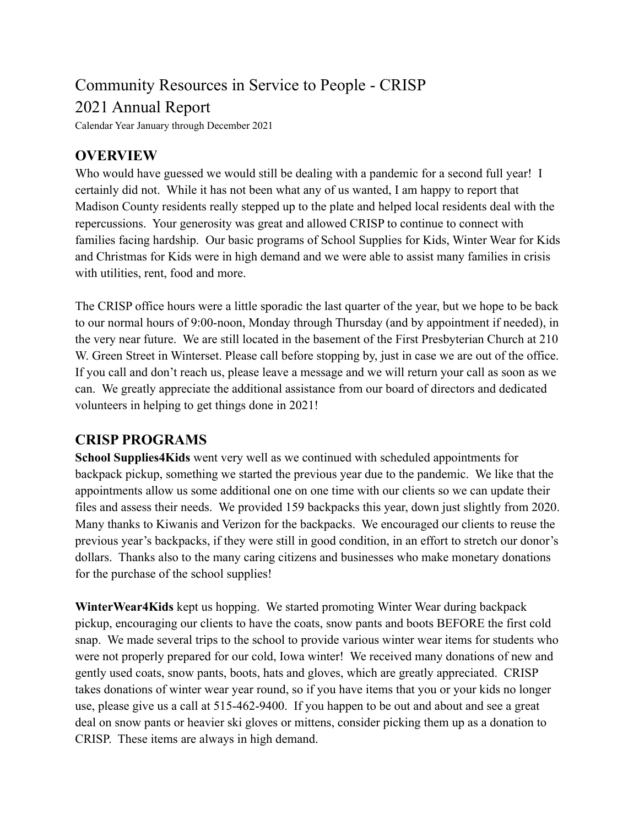# Community Resources in Service to People - CRISP 2021 Annual Report

Calendar Year January through December 2021

#### **OVERVIEW**

Who would have guessed we would still be dealing with a pandemic for a second full year! I certainly did not. While it has not been what any of us wanted, I am happy to report that Madison County residents really stepped up to the plate and helped local residents deal with the repercussions. Your generosity was great and allowed CRISP to continue to connect with families facing hardship. Our basic programs of School Supplies for Kids, Winter Wear for Kids and Christmas for Kids were in high demand and we were able to assist many families in crisis with utilities, rent, food and more.

The CRISP office hours were a little sporadic the last quarter of the year, but we hope to be back to our normal hours of 9:00-noon, Monday through Thursday (and by appointment if needed), in the very near future. We are still located in the basement of the First Presbyterian Church at 210 W. Green Street in Winterset. Please call before stopping by, just in case we are out of the office. If you call and don't reach us, please leave a message and we will return your call as soon as we can. We greatly appreciate the additional assistance from our board of directors and dedicated volunteers in helping to get things done in 2021!

#### **CRISP PROGRAMS**

**School Supplies4Kids** went very well as we continued with scheduled appointments for backpack pickup, something we started the previous year due to the pandemic. We like that the appointments allow us some additional one on one time with our clients so we can update their files and assess their needs. We provided 159 backpacks this year, down just slightly from 2020. Many thanks to Kiwanis and Verizon for the backpacks. We encouraged our clients to reuse the previous year's backpacks, if they were still in good condition, in an effort to stretch our donor's dollars. Thanks also to the many caring citizens and businesses who make monetary donations for the purchase of the school supplies!

**WinterWear4Kids** kept us hopping. We started promoting Winter Wear during backpack pickup, encouraging our clients to have the coats, snow pants and boots BEFORE the first cold snap. We made several trips to the school to provide various winter wear items for students who were not properly prepared for our cold, Iowa winter! We received many donations of new and gently used coats, snow pants, boots, hats and gloves, which are greatly appreciated. CRISP takes donations of winter wear year round, so if you have items that you or your kids no longer use, please give us a call at 515-462-9400. If you happen to be out and about and see a great deal on snow pants or heavier ski gloves or mittens, consider picking them up as a donation to CRISP. These items are always in high demand.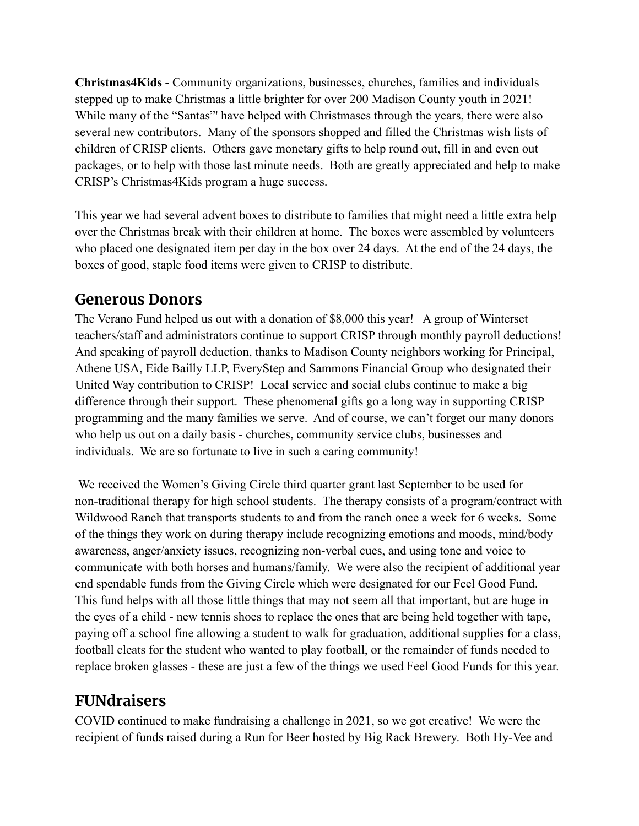**Christmas4Kids -** Community organizations, businesses, churches, families and individuals stepped up to make Christmas a little brighter for over 200 Madison County youth in 2021! While many of the "Santas" have helped with Christmases through the years, there were also several new contributors. Many of the sponsors shopped and filled the Christmas wish lists of children of CRISP clients. Others gave monetary gifts to help round out, fill in and even out packages, or to help with those last minute needs. Both are greatly appreciated and help to make CRISP's Christmas4Kids program a huge success.

This year we had several advent boxes to distribute to families that might need a little extra help over the Christmas break with their children at home. The boxes were assembled by volunteers who placed one designated item per day in the box over 24 days. At the end of the 24 days, the boxes of good, staple food items were given to CRISP to distribute.

#### **Generous Donors**

The Verano Fund helped us out with a donation of \$8,000 this year! A group of Winterset teachers/staff and administrators continue to support CRISP through monthly payroll deductions! And speaking of payroll deduction, thanks to Madison County neighbors working for Principal, Athene USA, Eide Bailly LLP, EveryStep and Sammons Financial Group who designated their United Way contribution to CRISP! Local service and social clubs continue to make a big difference through their support. These phenomenal gifts go a long way in supporting CRISP programming and the many families we serve. And of course, we can't forget our many donors who help us out on a daily basis - churches, community service clubs, businesses and individuals. We are so fortunate to live in such a caring community!

We received the Women's Giving Circle third quarter grant last September to be used for non-traditional therapy for high school students. The therapy consists of a program/contract with Wildwood Ranch that transports students to and from the ranch once a week for 6 weeks. Some of the things they work on during therapy include recognizing emotions and moods, mind/body awareness, anger/anxiety issues, recognizing non-verbal cues, and using tone and voice to communicate with both horses and humans/family. We were also the recipient of additional year end spendable funds from the Giving Circle which were designated for our Feel Good Fund. This fund helps with all those little things that may not seem all that important, but are huge in the eyes of a child - new tennis shoes to replace the ones that are being held together with tape, paying off a school fine allowing a student to walk for graduation, additional supplies for a class, football cleats for the student who wanted to play football, or the remainder of funds needed to replace broken glasses - these are just a few of the things we used Feel Good Funds for this year.

#### **FUNdraisers**

COVID continued to make fundraising a challenge in 2021, so we got creative! We were the recipient of funds raised during a Run for Beer hosted by Big Rack Brewery. Both Hy-Vee and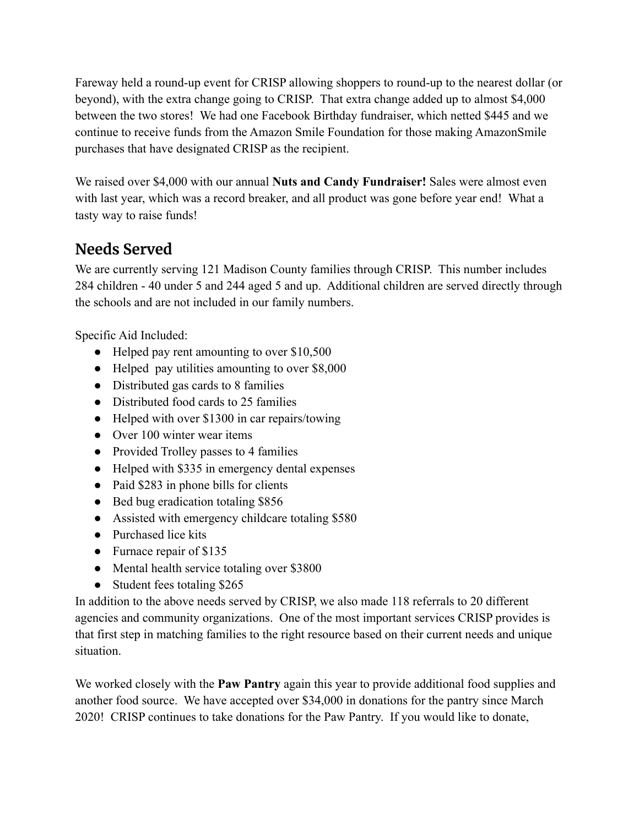Fareway held a round-up event for CRISP allowing shoppers to round-up to the nearest dollar (or beyond), with the extra change going to CRISP. That extra change added up to almost \$4,000 between the two stores! We had one Facebook Birthday fundraiser, which netted \$445 and we continue to receive funds from the Amazon Smile Foundation for those making AmazonSmile purchases that have designated CRISP as the recipient.

We raised over \$4,000 with our annual **Nuts and Candy Fundraiser!** Sales were almost even with last year, which was a record breaker, and all product was gone before year end! What a tasty way to raise funds!

## **Needs Served**

We are currently serving 121 Madison County families through CRISP. This number includes 284 children - 40 under 5 and 244 aged 5 and up. Additional children are served directly through the schools and are not included in our family numbers.

Specific Aid Included:

- Helped pay rent amounting to over \$10,500
- Helped pay utilities amounting to over \$8,000
- Distributed gas cards to 8 families
- Distributed food cards to 25 families
- Helped with over \$1300 in car repairs/towing
- Over 100 winter wear items
- Provided Trolley passes to 4 families
- Helped with \$335 in emergency dental expenses
- Paid \$283 in phone bills for clients
- Bed bug eradication totaling \$856
- Assisted with emergency childcare totaling \$580
- Purchased lice kits
- Furnace repair of \$135
- Mental health service totaling over \$3800
- Student fees totaling \$265

In addition to the above needs served by CRISP, we also made 118 referrals to 20 different agencies and community organizations. One of the most important services CRISP provides is that first step in matching families to the right resource based on their current needs and unique situation.

We worked closely with the **Paw Pantry** again this year to provide additional food supplies and another food source. We have accepted over \$34,000 in donations for the pantry since March 2020! CRISP continues to take donations for the Paw Pantry. If you would like to donate,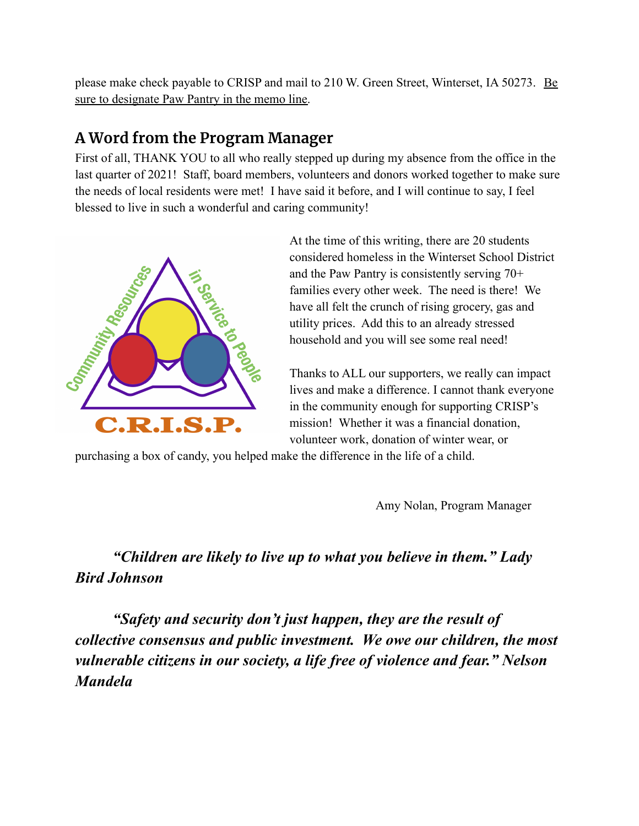please make check payable to CRISP and mail to 210 W. Green Street, Winterset, IA 50273. Be sure to designate Paw Pantry in the memo line.

## **A Word from the Program Manager**

First of all, THANK YOU to all who really stepped up during my absence from the office in the last quarter of 2021! Staff, board members, volunteers and donors worked together to make sure the needs of local residents were met! I have said it before, and I will continue to say, I feel blessed to live in such a wonderful and caring community!



At the time of this writing, there are 20 students considered homeless in the Winterset School District and the Paw Pantry is consistently serving 70+ families every other week. The need is there! We have all felt the crunch of rising grocery, gas and utility prices. Add this to an already stressed household and you will see some real need!

Thanks to ALL our supporters, we really can impact lives and make a difference. I cannot thank everyone in the community enough for supporting CRISP's mission! Whether it was a financial donation, volunteer work, donation of winter wear, or

purchasing a box of candy, you helped make the difference in the life of a child.

Amy Nolan, Program Manager

## *"Children are likely to live up to what you believe in them." Lady Bird Johnson*

*"Safety and security don't just happen, they are the result of collective consensus and public investment. We owe our children, the most vulnerable citizens in our society, a life free of violence and fear." Nelson Mandela*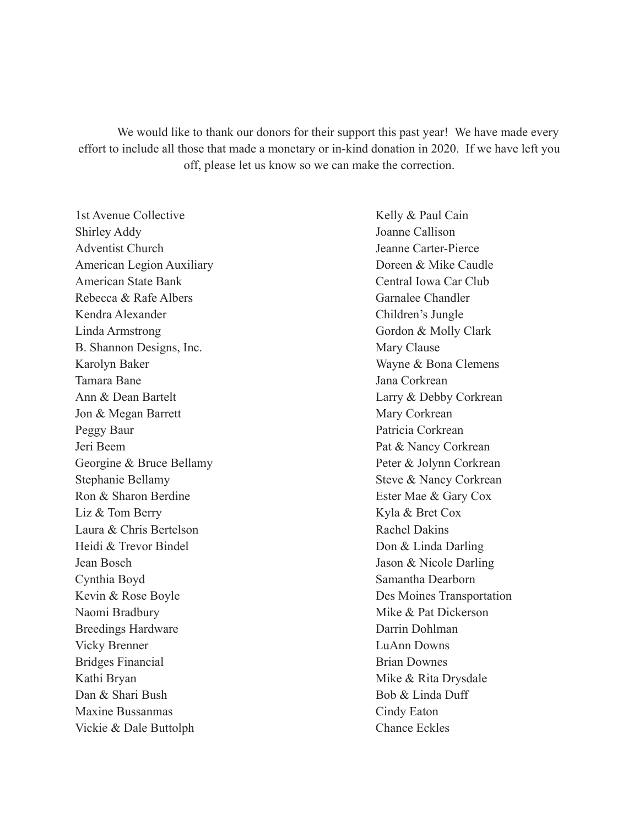We would like to thank our donors for their support this past year! We have made every effort to include all those that made a monetary or in-kind donation in 2020. If we have left you off, please let us know so we can make the correction.

1st Avenue Collective Shirley Addy Adventist Church American Legion Auxiliary American State Bank Rebecca & Rafe Albers Kendra Alexander Linda Armstrong B. Shannon Designs, Inc. Karolyn Baker Tamara Bane Ann & Dean Bartelt Jon & Megan Barrett Peggy Baur Jeri Beem Georgine & Bruce Bellamy Stephanie Bellamy Ron & Sharon Berdine Liz & Tom Berry Laura & Chris Bertelson Heidi & Trevor Bindel Jean Bosch Cynthia Boyd Kevin & Rose Boyle Naomi Bradbury Breedings Hardware Vicky Brenner Bridges Financial Kathi Bryan Dan & Shari Bush Maxine Bussanmas Vickie & Dale Buttolph

Kelly & Paul Cain Joanne Callison Jeanne Carter-Pierce Doreen & Mike Caudle Central Iowa Car Club Garnalee Chandler Children's Jungle Gordon & Molly Clark Mary Clause Wayne & Bona Clemens Jana Corkrean Larry & Debby Corkrean Mary Corkrean Patricia Corkrean Pat & Nancy Corkrean Peter & Jolynn Corkrean Steve & Nancy Corkrean Ester Mae & Gary Cox Kyla & Bret Cox Rachel Dakins Don & Linda Darling Jason & Nicole Darling Samantha Dearborn Des Moines Transportation Mike & Pat Dickerson Darrin Dohlman LuAnn Downs Brian Downes Mike & Rita Drysdale Bob & Linda Duff Cindy Eaton Chance Eckles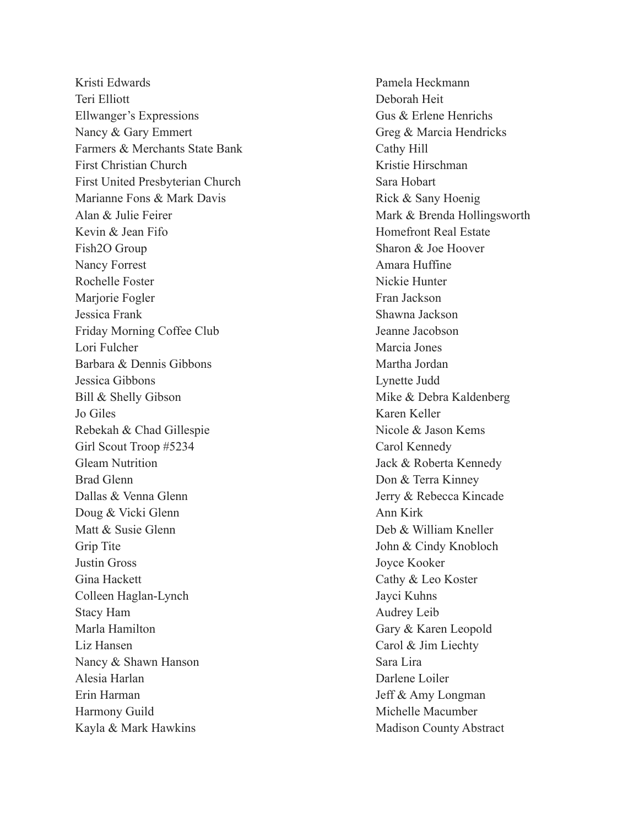Kristi Edwards Teri Elliott Ellwanger's Expressions Nancy & Gary Emmert Farmers & Merchants State Bank First Christian Church First United Presbyterian Church Marianne Fons & Mark Davis Alan & Julie Feirer Kevin & Jean Fifo Fish2O Group Nancy Forrest Rochelle Foster Marjorie Fogler Jessica Frank Friday Morning Coffee Club Lori Fulcher Barbara & Dennis Gibbons Jessica Gibbons Bill & Shelly Gibson Jo Giles Rebekah & Chad Gillespie Girl Scout Troop #5234 Gleam Nutrition Brad Glenn Dallas & Venna Glenn Doug & Vicki Glenn Matt & Susie Glenn Grip Tite Justin Gross Gina Hackett Colleen Haglan-Lynch Stacy Ham Marla Hamilton Liz Hansen Nancy & Shawn Hanson Alesia Harlan Erin Harman Harmony Guild Kayla & Mark Hawkins

Pamela Heckmann Deborah Heit Gus & Erlene Henrichs Greg & Marcia Hendricks Cathy Hill Kristie Hirschman Sara Hobart Rick & Sany Hoenig Mark & Brenda Hollingsworth Homefront Real Estate Sharon & Joe Hoover Amara Huffine Nickie Hunter Fran Jackson Shawna Jackson Jeanne Jacobson Marcia Jones Martha Jordan Lynette Judd Mike & Debra Kaldenberg Karen Keller Nicole & Jason Kems Carol Kennedy Jack & Roberta Kennedy Don & Terra Kinney Jerry & Rebecca Kincade Ann Kirk Deb & William Kneller John & Cindy Knobloch Joyce Kooker Cathy & Leo Koster Jayci Kuhns Audrey Leib Gary & Karen Leopold Carol & Jim Liechty Sara Lira Darlene Loiler Jeff & Amy Longman Michelle Macumber Madison County Abstract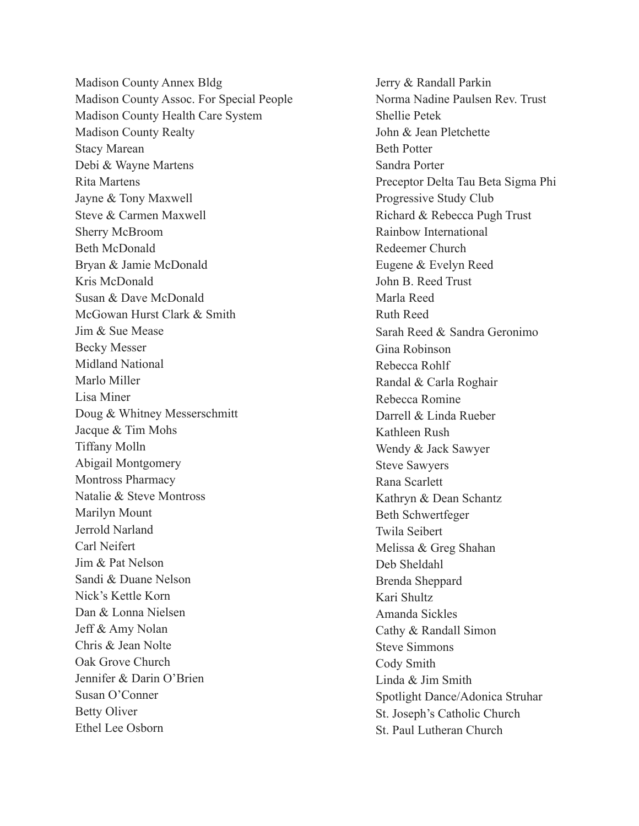Madison County Annex Bldg Madison County Assoc. For Special People Madison County Health Care System Madison County Realty Stacy Marean Debi & Wayne Martens Rita Martens Jayne & Tony Maxwell Steve & Carmen Maxwell Sherry McBroom Beth McDonald Bryan & Jamie McDonald Kris McDonald Susan & Dave McDonald McGowan Hurst Clark & Smith Jim & Sue Mease Becky Messer Midland National Marlo Miller Lisa Miner Doug & Whitney Messerschmitt Jacque & Tim Mohs Tiffany Molln Abigail Montgomery Montross Pharmacy Natalie & Steve Montross Marilyn Mount Jerrold Narland Carl Neifert Jim & Pat Nelson Sandi & Duane Nelson Nick's Kettle Korn Dan & Lonna Nielsen Jeff & Amy Nolan Chris & Jean Nolte Oak Grove Church Jennifer & Darin O'Brien Susan O'Conner Betty Oliver Ethel Lee Osborn

Jerry & Randall Parkin Norma Nadine Paulsen Rev. Trust Shellie Petek John & Jean Pletchette Beth Potter Sandra Porter Preceptor Delta Tau Beta Sigma Phi Progressive Study Club Richard & Rebecca Pugh Trust Rainbow International Redeemer Church Eugene & Evelyn Reed John B. Reed Trust Marla Reed Ruth Reed Sarah Reed & [Sandra Geronimo](mailto:rwgeronimo@yahoo.com) Gina Robinson Rebecca Rohlf Randal & Carla Roghair Rebecca Romine Darrell & Linda Rueber Kathleen Rush Wendy & Jack Sawyer Steve Sawyers Rana Scarlett Kathryn & Dean Schantz Beth Schwertfeger Twila Seibert Melissa & Greg Shahan Deb Sheldahl Brenda Sheppard Kari Shultz Amanda Sickles Cathy & Randall Simon Steve Simmons Cody Smith Linda & Jim Smith Spotlight Dance/Adonica Struhar St. Joseph's Catholic Church St. Paul Lutheran Church